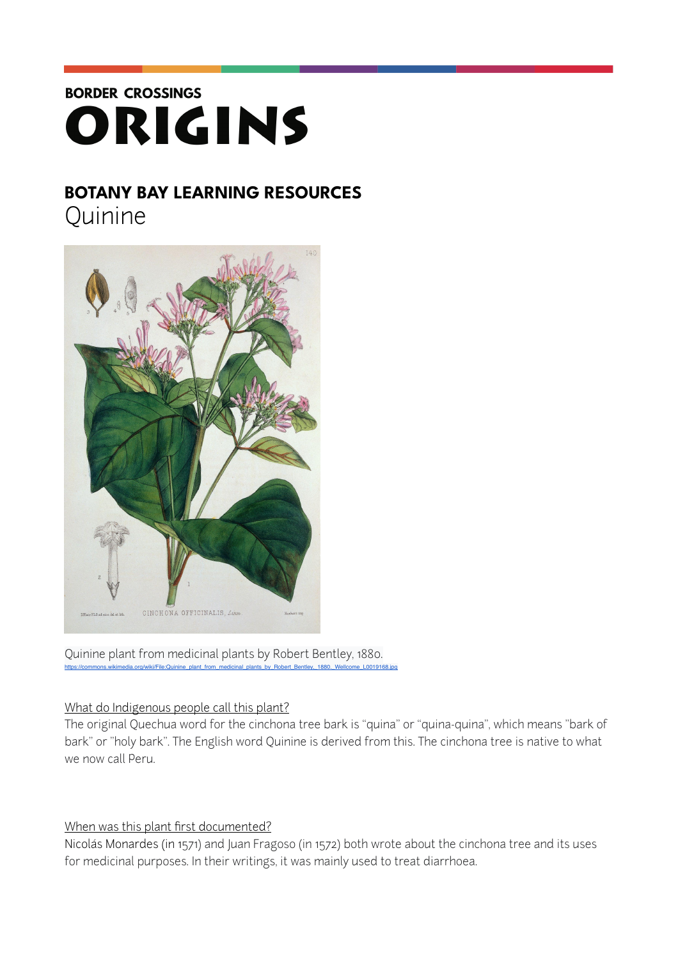# **BORDER CROSSINGS** ORIGINS

# **BOTANY BAY LEARNING RESOURCES**

**Quinine** 



Quinine plant from medicinal plants by Robert Bentley, 1880.<br>https://commons.wikimedia.org/wiki/File:Quinine plant from medicinal plants by Bobert Bentley, 1880, Wellome L001916 https://commons.wikimedia.org/wiki/File:Quinine\_plant\_from

## What do Indigenous people call this plant?

The original [Quechua](https://en.wikipedia.org/wiki/Quechua_languages) word for the cinchona tree bark is "quina" or "quina-quina", which means "bark of bark" or "holy bark". The English word Quinine is derived from this. The cinchona tree is native to what we now call Peru.

## When was this plant first documented?

Nicolás Monardes (in 1571) and Juan Fragoso (in 1572) both wrote about the cinchona tree and its uses for medicinal purposes. In their writings, it was mainly used to treat diarrhoea.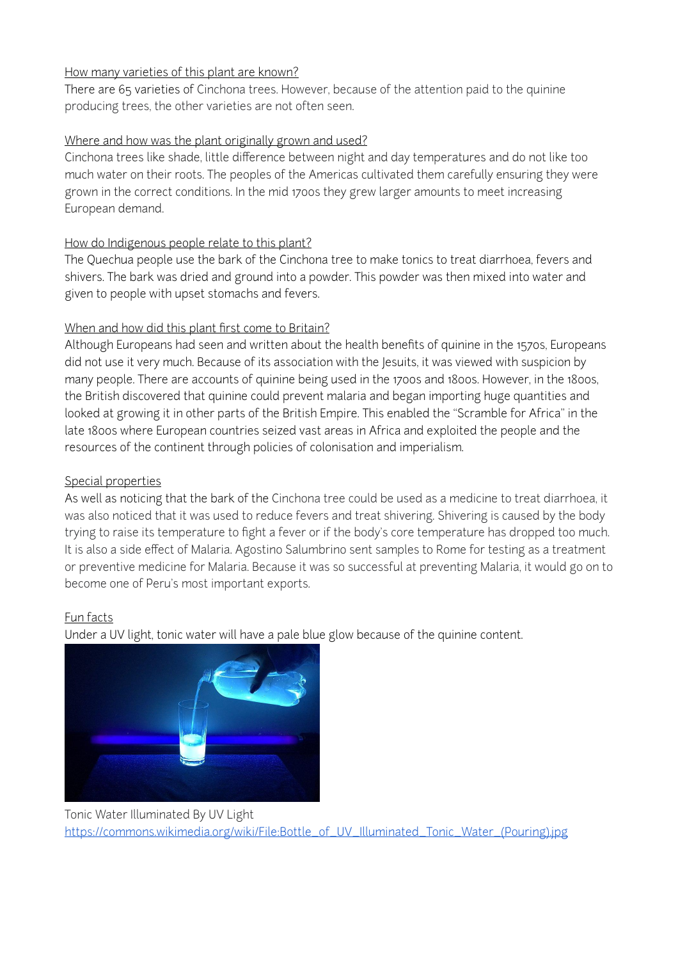#### How many varieties of this plant are known?

There are 65 varieties of Cinchona trees. However, because of the attention paid to the quinine producing trees, the other varieties are not often seen.

#### Where and how was the plant originally grown and used?

Cinchona trees like shade, little difference between night and day temperatures and do not like too much water on their roots. The peoples of the Americas cultivated them carefully ensuring they were grown in the correct conditions. In the mid 1700s they grew larger amounts to meet increasing European demand.

#### How do Indigenous people relate to this plant?

The Quechua people use the bark of the Cinchona tree to make tonics to treat diarrhoea, fevers and shivers. The bark was dried and ground into a powder. This powder was then mixed into water and given to people with upset stomachs and fevers.

#### When and how did this plant first come to Britain?

Although Europeans had seen and written about the health benefits of quinine in the 1570s, Europeans did not use it very much. Because of its association with the Jesuits, it was viewed with suspicion by many people. There are accounts of quinine being used in the 1700s and 1800s. However, in the 1800s, the British discovered that quinine could prevent malaria and began importing huge quantities and looked at growing it in other parts of the British Empire. This enabled the "Scramble for Africa" in the late 1800s where European countries seized vast areas in Africa and exploited the people and the resources of the continent through policies of colonisation and imperialism.

#### Special properties

As well as noticing that the bark of the Cinchona tree could be used as a medicine to treat diarrhoea, it was also noticed that it was used to reduce fevers and treat shivering. Shivering is caused by the body trying to raise its temperature to fight a fever or if the body's core temperature has dropped too much. It is also a side effect of Malaria. Agostino Salumbrino sent samples to Rome for testing as a treatment or preventive medicine for Malaria. Because it was so successful at preventing Malaria, it would go on to become one of Peru's most important exports.

#### Fun facts

Under a UV light, tonic water will have a pale blue glow because of the quinine content.



Tonic Water Illuminated By UV Light [https://commons.wikimedia.org/wiki/File:Bottle\\_of\\_UV\\_Illuminated\\_Tonic\\_Water\\_\(Pouring\).jpg](https://commons.wikimedia.org/wiki/File:Bottle_of_UV_Illuminated_Tonic_Water_(Pouring).jpg)